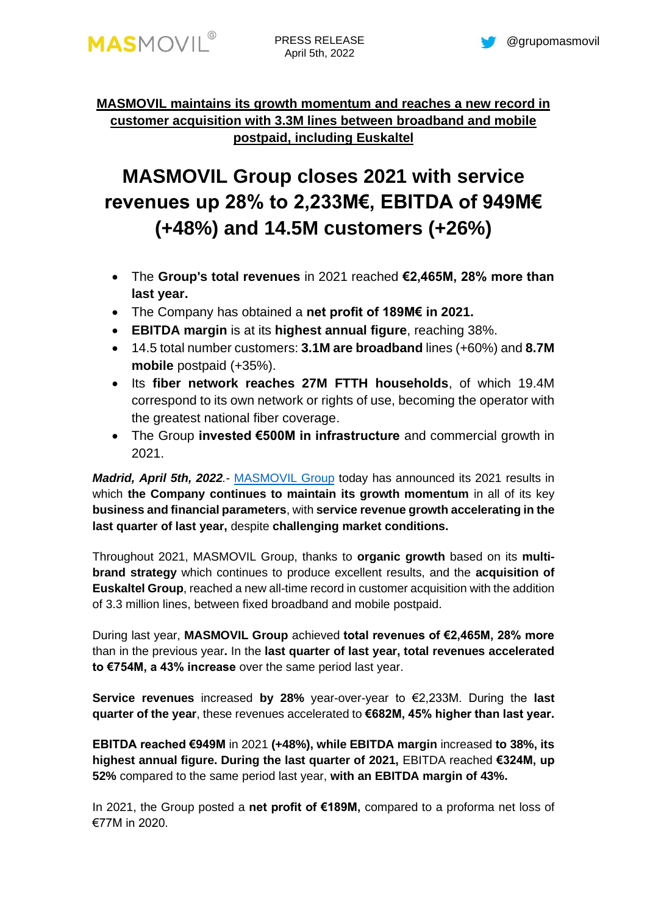

## **MASMOVIL maintains its growth momentum and reaches a new record in customer acquisition with 3.3M lines between broadband and mobile postpaid, including Euskaltel**

# **MASMOVIL Group closes 2021 with service revenues up 28% to 2,233M€, EBITDA of 949M€ (+48%) and 14.5M customers (+26%)**

- The **Group's total revenues** in 2021 reached **€2,465M, 28% more than last year.**
- The Company has obtained a **net profit of 189M€ in 2021.**
- **EBITDA margin** is at its **highest annual figure**, reaching 38%.
- 14.5 total number customers: **3.1M are broadband** lines (+60%) and **8.7M mobile** postpaid (+35%).
- Its **fiber network reaches 27M FTTH households**, of which 19.4M correspond to its own network or rights of use, becoming the operator with the greatest national fiber coverage.
- The Group **invested €500M in infrastructure** and commercial growth in 2021.

*Madrid, April 5th, 2022.-* [MASMOVIL](http://www.grupomasmovil.com/) Group today has announced its 2021 results in which **the Company continues to maintain its growth momentum** in all of its key **business and financial parameters**, with **service revenue growth accelerating in the last quarter of last year,** despite **challenging market conditions.**

Throughout 2021, MASMOVIL Group, thanks to **organic growth** based on its **multibrand strategy** which continues to produce excellent results, and the **acquisition of Euskaltel Group**, reached a new all-time record in customer acquisition with the addition of 3.3 million lines, between fixed broadband and mobile postpaid.

During last year, **MASMOVIL Group** achieved **total revenues of €2,465M, 28% more**  than in the previous year**.** In the **last quarter of last year, total revenues accelerated to €754M, a 43% increase** over the same period last year.

**Service revenues** increased **by 28%** year-over-year to €2,233M. During the **last quarter of the year**, these revenues accelerated to **€682M, 45% higher than last year.**

**EBITDA reached €949M** in 2021 **(+48%), while EBITDA margin** increased **to 38%, its highest annual figure. During the last quarter of 2021,** EBITDA reached **€324M, up 52%** compared to the same period last year, **with an EBITDA margin of 43%.**

In 2021, the Group posted a **net profit of €189M,** compared to a proforma net loss of €77M in 2020.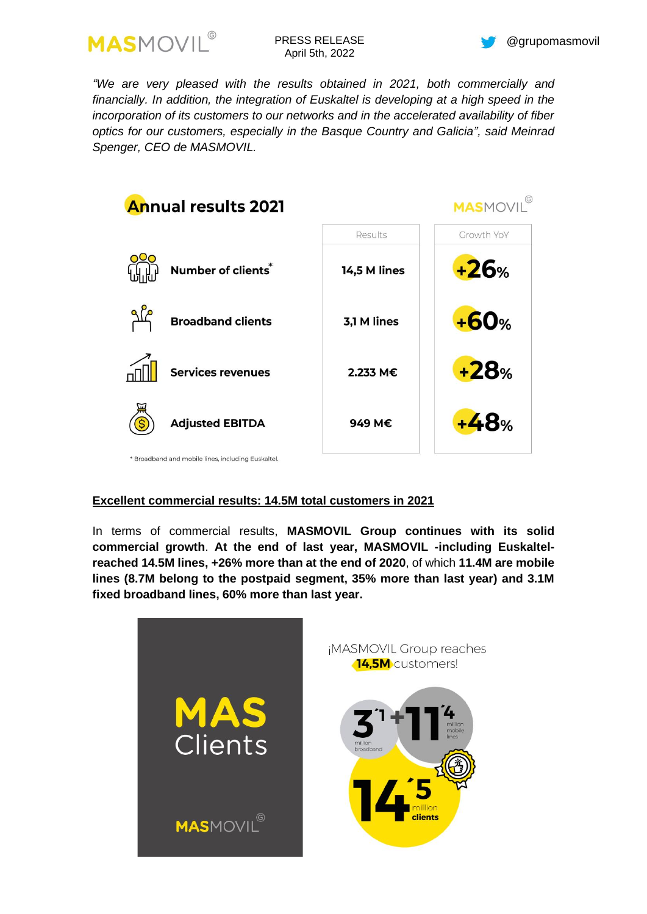

*"We are very pleased with the results obtained in 2021, both commercially and*  financially. In addition, the integration of Euskaltel is developing at a high speed in the *incorporation of its customers to our networks and in the accelerated availability of fiber optics for our customers, especially in the Basque Country and Galicia", said Meinrad Spenger, CEO de MASMOVIL.*



## **Excellent commercial results: 14.5M total customers in 2021**

In terms of commercial results, **MASMOVIL Group continues with its solid commercial growth**. **At the end of last year, MASMOVIL -including Euskaltelreached 14.5M lines, +26% more than at the end of 2020**, of which **11.4M are mobile lines (8.7M belong to the postpaid segment, 35% more than last year) and 3.1M fixed broadband lines, 60% more than last year.**

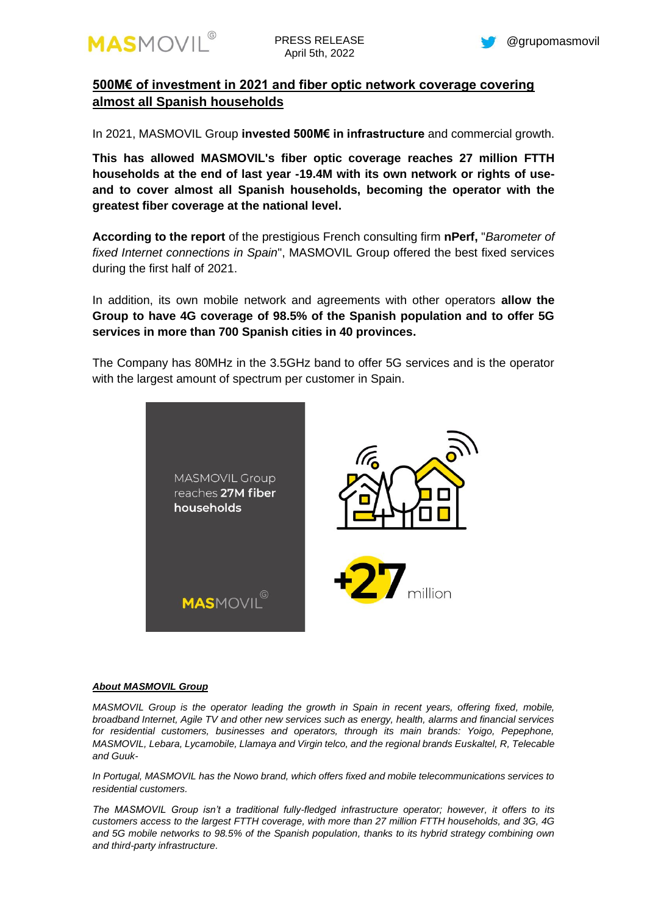

## **500M€ of investment in 2021 and fiber optic network coverage covering almost all Spanish households**

In 2021, MASMOVIL Group **invested 500M€ in infrastructure** and commercial growth.

**This has allowed MASMOVIL's fiber optic coverage reaches 27 million FTTH households at the end of last year -19.4M with its own network or rights of useand to cover almost all Spanish households, becoming the operator with the greatest fiber coverage at the national level.**

**According to the report** of the prestigious French consulting firm **nPerf,** "*Barometer of fixed Internet connections in Spain*", MASMOVIL Group offered the best fixed services during the first half of 2021.

In addition, its own mobile network and agreements with other operators **allow the Group to have 4G coverage of 98.5% of the Spanish population and to offer 5G services in more than 700 Spanish cities in 40 provinces.**

The Company has 80MHz in the 3.5GHz band to offer 5G services and is the operator with the largest amount of spectrum per customer in Spain.



#### *About MASMOVIL Group*

*MASMOVIL Group is the operator leading the growth in Spain in recent years, offering fixed, mobile, broadband Internet, Agile TV and other new services such as energy, health, alarms and financial services for residential customers, businesses and operators, through its main brands: Yoigo, Pepephone, MASMOVIL, Lebara, Lycamobile, Llamaya and Virgin telco, and the regional brands Euskaltel, R, Telecable and Guuk-*

*In Portugal, MASMOVIL has the Nowo brand, which offers fixed and mobile telecommunications services to residential customers.*

*The MASMOVIL Group isn't a traditional fully-fledged infrastructure operator; however, it offers to its customers access to the largest FTTH coverage, with more than 27 million FTTH households, and 3G, 4G and 5G mobile networks to 98.5% of the Spanish population, thanks to its hybrid strategy combining own and third-party infrastructure.*